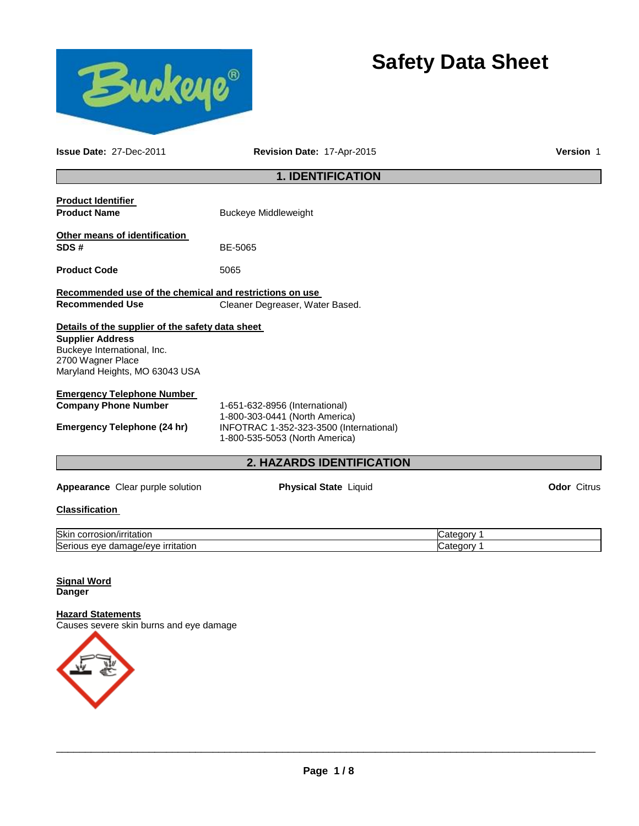

# **Safety Data Sheet**

**Issue Date:** 27-Dec-2011 **Revision Date:** 17-Apr-2015 **Version** 1

# **1. IDENTIFICATION**

| <b>Product Identifier</b><br><b>Product Name</b>                                                              | <b>Buckeye Middleweight</b>                                                                                 |                    |
|---------------------------------------------------------------------------------------------------------------|-------------------------------------------------------------------------------------------------------------|--------------------|
| Other means of identification<br>SDS#                                                                         | BE-5065                                                                                                     |                    |
| <b>Product Code</b>                                                                                           | 5065                                                                                                        |                    |
| Recommended use of the chemical and restrictions on use<br><b>Recommended Use</b>                             | Cleaner Degreaser, Water Based.                                                                             |                    |
| Details of the supplier of the safety data sheet                                                              |                                                                                                             |                    |
| <b>Supplier Address</b><br>Buckeye International, Inc.<br>2700 Wagner Place<br>Maryland Heights, MO 63043 USA |                                                                                                             |                    |
| <b>Emergency Telephone Number</b>                                                                             |                                                                                                             |                    |
| <b>Company Phone Number</b>                                                                                   | 1-651-632-8956 (International)                                                                              |                    |
| <b>Emergency Telephone (24 hr)</b>                                                                            | 1-800-303-0441 (North America)<br>INFOTRAC 1-352-323-3500 (International)<br>1-800-535-5053 (North America) |                    |
|                                                                                                               | <b>2. HAZARDS IDENTIFICATION</b>                                                                            |                    |
| Appearance Clear purple solution                                                                              | <b>Physical State Liquid</b>                                                                                | <b>Odor Citrus</b> |
| <b>Classification</b>                                                                                         |                                                                                                             |                    |

| Skir<br>n/irritation<br>corrosion                                                 | aorv : |
|-----------------------------------------------------------------------------------|--------|
| ∽<br><u>irritation</u><br>A/AVE<br>$-$<br>eve<br>$\sim$<br>Seriou.<br>uar<br>iaut | aory   |

#### **Signal Word Danger**

# **Hazard Statements**

Causes severe skin burns and eye damage

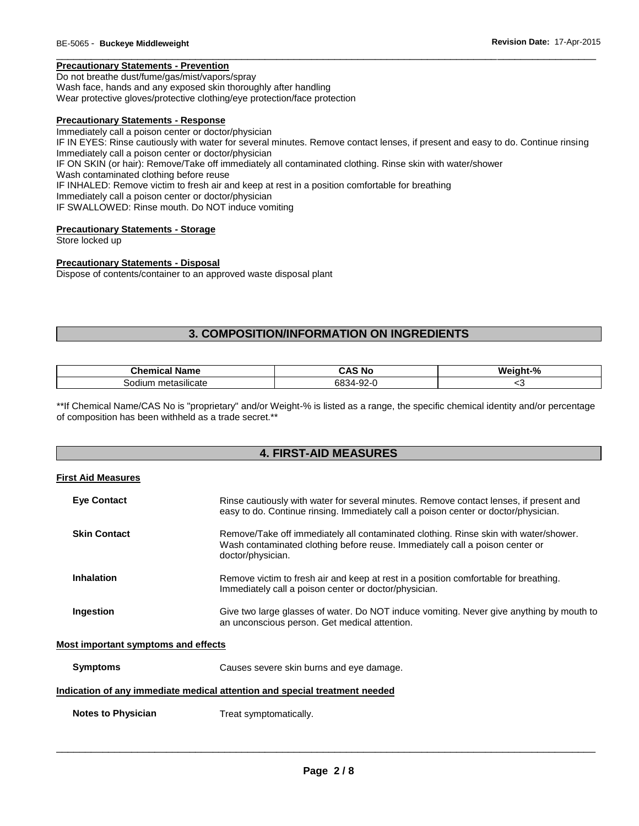#### **Precautionary Statements - Prevention**

Do not breathe dust/fume/gas/mist/vapors/spray Wash face, hands and any exposed skin thoroughly after handling Wear protective gloves/protective clothing/eye protection/face protection

#### **Precautionary Statements - Response**

Immediately call a poison center or doctor/physician IF IN EYES: Rinse cautiously with water for several minutes. Remove contact lenses, if present and easy to do. Continue rinsing Immediately call a poison center or doctor/physician IF ON SKIN (or hair): Remove/Take off immediately all contaminated clothing. Rinse skin with water/shower Wash contaminated clothing before reuse IF INHALED: Remove victim to fresh air and keep at rest in a position comfortable for breathing Immediately call a poison center or doctor/physician IF SWALLOWED: Rinse mouth. Do NOT induce vomiting

\_\_\_\_\_\_\_\_\_\_\_\_\_\_\_\_\_\_\_\_\_\_\_\_\_\_\_\_\_\_\_\_\_\_\_\_\_\_\_\_\_\_\_\_\_\_\_\_\_\_\_\_\_\_\_\_\_\_\_\_\_\_\_\_\_\_\_\_\_\_\_\_\_\_\_\_\_\_\_\_\_\_\_\_\_\_\_\_\_\_\_\_\_

#### **Precautionary Statements - Storage**

Store locked up

#### **Precautionary Statements - Disposal**

Dispose of contents/container to an approved waste disposal plant

# **3. COMPOSITION/INFORMATION ON INGREDIENTS**

| $\blacksquare$<br>Name<br>⊶ner —<br>шьаг | N0<br>ט -<br>$\sim$ | Weiaht-% |
|------------------------------------------|---------------------|----------|
| metasilicate<br>$\sim$<br>soditi         | 68.<br>ັ            | ີ        |

\*\*If Chemical Name/CAS No is "proprietary" and/or Weight-% is listed as a range, the specific chemical identity and/or percentage of composition has been withheld as a trade secret.\*\*

### **4. FIRST-AID MEASURES**

#### **First Aid Measures**

| <b>Eye Contact</b>                  | Rinse cautiously with water for several minutes. Remove contact lenses, if present and<br>easy to do. Continue rinsing. Immediately call a poison center or doctor/physician.             |
|-------------------------------------|-------------------------------------------------------------------------------------------------------------------------------------------------------------------------------------------|
| <b>Skin Contact</b>                 | Remove/Take off immediately all contaminated clothing. Rinse skin with water/shower.<br>Wash contaminated clothing before reuse. Immediately call a poison center or<br>doctor/physician. |
| Inhalation                          | Remove victim to fresh air and keep at rest in a position comfortable for breathing.<br>Immediately call a poison center or doctor/physician.                                             |
| Ingestion                           | Give two large glasses of water. Do NOT induce vomiting. Never give anything by mouth to<br>an unconscious person. Get medical attention.                                                 |
| Most important symptoms and effects |                                                                                                                                                                                           |

**Symptoms** Causes severe skin burns and eye damage.

#### **Indication of any immediate medical attention and special treatment needed**

**Notes to Physician Treat symptomatically.**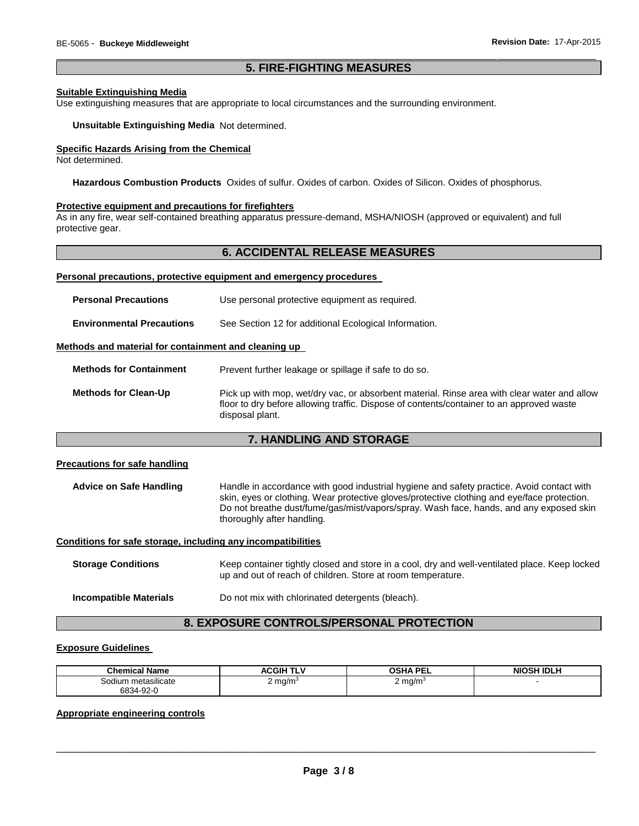#### \_\_\_\_\_\_\_\_\_\_\_\_\_\_\_\_\_\_\_\_\_\_\_\_\_\_\_\_\_\_\_\_\_\_\_\_\_\_\_\_\_\_\_\_\_\_\_\_\_\_\_\_\_\_\_\_\_\_\_\_\_\_\_\_\_\_\_\_\_\_\_\_\_\_\_\_\_\_\_\_\_\_\_\_\_\_\_\_\_\_\_\_\_ **5. FIRE-FIGHTING MEASURES**

#### **Suitable Extinguishing Media**

Use extinguishing measures that are appropriate to local circumstances and the surrounding environment.

#### **Unsuitable Extinguishing Media** Not determined.

#### **Specific Hazards Arising from the Chemical**

Not determined.

**Hazardous Combustion Products** Oxides of sulfur. Oxides of carbon. Oxides of Silicon. Oxides of phosphorus.

#### **Protective equipment and precautions for firefighters**

As in any fire, wear self-contained breathing apparatus pressure-demand, MSHA/NIOSH (approved or equivalent) and full protective gear.

#### **6. ACCIDENTAL RELEASE MEASURES**

#### **Personal precautions, protective equipment and emergency procedures**

| <b>Personal Precautions</b>                          | Use personal protective equipment as required.                                                                                                                                                             |  |  |
|------------------------------------------------------|------------------------------------------------------------------------------------------------------------------------------------------------------------------------------------------------------------|--|--|
| <b>Environmental Precautions</b>                     | See Section 12 for additional Ecological Information.                                                                                                                                                      |  |  |
| Methods and material for containment and cleaning up |                                                                                                                                                                                                            |  |  |
| <b>Methods for Containment</b>                       | Prevent further leakage or spillage if safe to do so.                                                                                                                                                      |  |  |
| <b>Methods for Clean-Up</b>                          | Pick up with mop, wet/dry vac, or absorbent material. Rinse area with clear water and allow<br>floor to dry before allowing traffic. Dispose of contents/container to an approved waste<br>disposal plant. |  |  |

#### **7. HANDLING AND STORAGE**

#### **Precautions for safe handling**

**Advice on Safe Handling** Handle in accordance with good industrial hygiene and safety practice. Avoid contact with skin, eyes or clothing. Wear protective gloves/protective clothing and eye/face protection. Do not breathe dust/fume/gas/mist/vapors/spray. Wash face, hands, and any exposed skin thoroughly after handling.

#### **Conditions for safe storage, including any incompatibilities**

| <b>Storage Conditions</b> | Keep container tightly closed and store in a cool, dry and well-ventilated place. Keep locked<br>up and out of reach of children. Store at room temperature. |  |
|---------------------------|--------------------------------------------------------------------------------------------------------------------------------------------------------------|--|
| Incompatible Materials    | Do not mix with chlorinated detergents (bleach).                                                                                                             |  |

# **8. EXPOSURE CONTROLS/PERSONAL PROTECTION**

#### **Exposure Guidelines**

| <b>Chemical Name</b>         | TLV<br>ACGIH <sup>-</sup><br>W | <b>OSHA PFI</b><br>--- | <b>NIOSH IDLH</b> |
|------------------------------|--------------------------------|------------------------|-------------------|
| <br>metasilicate<br>Sodium r | $2 \text{ ma/m}$<br>- 2        | $2 \text{ mg/m}^3$     |                   |
| 6834-92-0                    |                                |                        |                   |

#### **Appropriate engineering controls**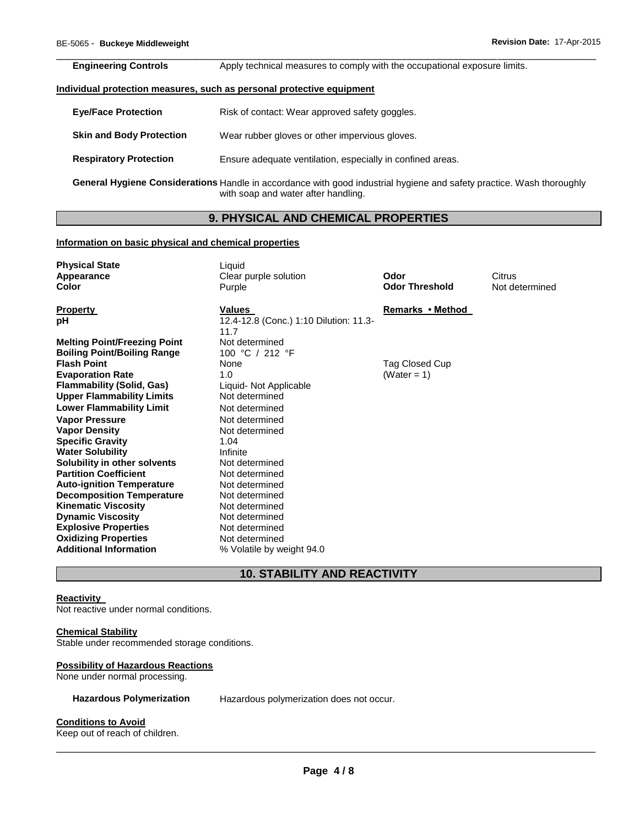| <b>Engineering Controls</b> | Apply technical measures to comply with the occupational exposure limits. |
|-----------------------------|---------------------------------------------------------------------------|

#### **Individual protection measures, such as personal protective equipment**

| <b>Eye/Face Protection</b>      | Risk of contact: Wear approved safety goggles.                                                                                                               |
|---------------------------------|--------------------------------------------------------------------------------------------------------------------------------------------------------------|
| <b>Skin and Body Protection</b> | Wear rubber gloves or other impervious gloves.                                                                                                               |
| <b>Respiratory Protection</b>   | Ensure adequate ventilation, especially in confined areas.                                                                                                   |
|                                 | General Hygiene Considerations Handle in accordance with good industrial hygiene and safety practice. Wash thoroughly<br>with soap and water after handling. |

### **9. PHYSICAL AND CHEMICAL PROPERTIES**

#### **Information on basic physical and chemical properties**

| <b>Physical State</b><br>Appearance<br>Color                                                         | Liquid<br>Clear purple solution<br>Purple                | Odor<br><b>Odor Threshold</b>    | Citrus<br>Not determined |
|------------------------------------------------------------------------------------------------------|----------------------------------------------------------|----------------------------------|--------------------------|
| <b>Property</b><br>рH                                                                                | Values<br>12.4-12.8 (Conc.) 1:10 Dilution: 11.3-<br>11.7 | Remarks • Method                 |                          |
| <b>Melting Point/Freezing Point</b><br><b>Boiling Point/Boiling Range</b><br><b>Flash Point</b>      | Not determined<br>100 °C / 212 °F                        |                                  |                          |
| <b>Evaporation Rate</b><br><b>Flammability (Solid, Gas)</b>                                          | None<br>1.0<br>Liquid- Not Applicable                    | Tag Closed Cup<br>(Water = $1$ ) |                          |
| <b>Upper Flammability Limits</b><br><b>Lower Flammability Limit</b>                                  | Not determined<br>Not determined                         |                                  |                          |
| <b>Vapor Pressure</b><br><b>Vapor Density</b><br><b>Specific Gravity</b>                             | Not determined<br>Not determined<br>1.04                 |                                  |                          |
| <b>Water Solubility</b><br>Solubility in other solvents                                              | Infinite<br>Not determined                               |                                  |                          |
| <b>Partition Coefficient</b><br><b>Auto-ignition Temperature</b><br><b>Decomposition Temperature</b> | Not determined<br>Not determined<br>Not determined       |                                  |                          |
| <b>Kinematic Viscosity</b><br><b>Dynamic Viscosity</b><br><b>Explosive Properties</b>                | Not determined<br>Not determined<br>Not determined       |                                  |                          |
| <b>Oxidizing Properties</b><br><b>Additional Information</b>                                         | Not determined<br>% Volatile by weight 94.0              |                                  |                          |

# **10. STABILITY AND REACTIVITY**

#### **Reactivity**

Not reactive under normal conditions.

#### **Chemical Stability**

Stable under recommended storage conditions.

#### **Possibility of Hazardous Reactions**

None under normal processing.

**Hazardous Polymerization** Hazardous polymerization does not occur.

#### **Conditions to Avoid**

Keep out of reach of children.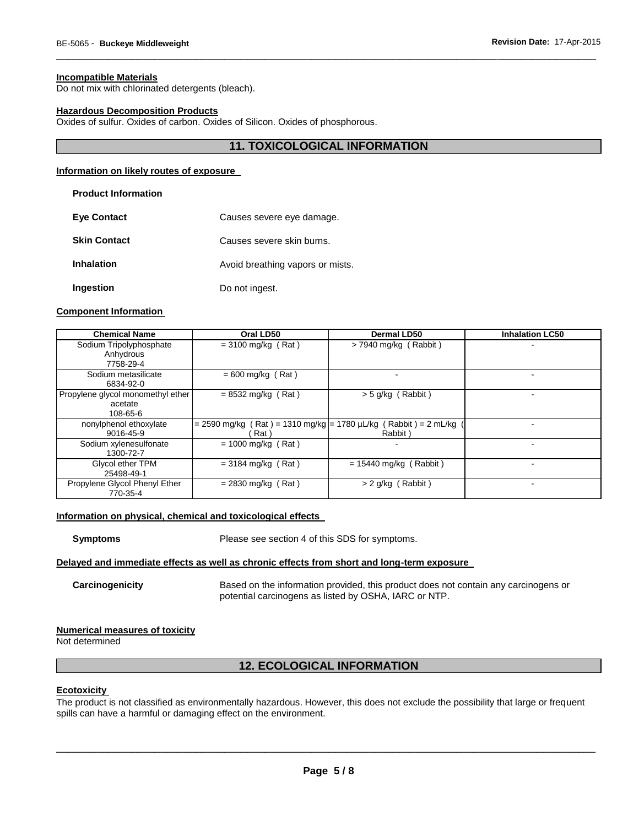#### **Incompatible Materials**

Do not mix with chlorinated detergents (bleach).

#### **Hazardous Decomposition Products**

Oxides of sulfur. Oxides of carbon. Oxides of Silicon. Oxides of phosphorous.

#### **11. TOXICOLOGICAL INFORMATION**

\_\_\_\_\_\_\_\_\_\_\_\_\_\_\_\_\_\_\_\_\_\_\_\_\_\_\_\_\_\_\_\_\_\_\_\_\_\_\_\_\_\_\_\_\_\_\_\_\_\_\_\_\_\_\_\_\_\_\_\_\_\_\_\_\_\_\_\_\_\_\_\_\_\_\_\_\_\_\_\_\_\_\_\_\_\_\_\_\_\_\_\_\_

#### **Information on likely routes of exposure**

#### **Product Information**

| <b>Eve Contact</b>  | Causes severe eye damage.        |
|---------------------|----------------------------------|
| <b>Skin Contact</b> | Causes severe skin burns.        |
| <b>Inhalation</b>   | Avoid breathing vapors or mists. |
| Ingestion           | Do not ingest.                   |

#### **Component Information**

| <b>Chemical Name</b>              | Oral LD50                                                         | <b>Dermal LD50</b>       | <b>Inhalation LC50</b> |
|-----------------------------------|-------------------------------------------------------------------|--------------------------|------------------------|
| Sodium Tripolyphosphate           | $= 3100$ mg/kg (Rat)                                              | $>$ 7940 mg/kg (Rabbit)  |                        |
| Anhydrous                         |                                                                   |                          |                        |
| 7758-29-4                         |                                                                   |                          |                        |
| Sodium metasilicate               | $= 600$ mg/kg (Rat)                                               |                          | -                      |
| 6834-92-0                         |                                                                   |                          |                        |
| Propylene glycol monomethyl ether | $= 8532$ mg/kg (Rat)                                              | $>$ 5 g/kg (Rabbit)      |                        |
| acetate                           |                                                                   |                          |                        |
| 108-65-6                          |                                                                   |                          |                        |
| nonylphenol ethoxylate            | $=$ 2590 mg/kg (Rat) = 1310 mg/kg = 1780 uL/kg (Rabbit) = 2 mL/kg |                          | ۰                      |
| 9016-45-9                         | Rat)                                                              | Rabbit)                  |                        |
| Sodium xylenesulfonate            | $= 1000$ mg/kg (Rat)                                              |                          |                        |
| 1300-72-7                         |                                                                   |                          |                        |
| Glycol ether TPM                  | $= 3184$ mg/kg (Rat)                                              | $= 15440$ mg/kg (Rabbit) | ۰                      |
| 25498-49-1                        |                                                                   |                          |                        |
| Propylene Glycol Phenyl Ether     | $= 2830$ mg/kg (Rat)                                              | $> 2$ g/kg (Rabbit)      |                        |
| 770-35-4                          |                                                                   |                          |                        |

#### **Information on physical, chemical and toxicological effects**

**Symptoms** Please see section 4 of this SDS for symptoms.

#### **Delayed and immediate effects as well as chronic effects from short and long-term exposure**

**Carcinogenicity** Based on the information provided, this product does not contain any carcinogens or potential carcinogens as listed by OSHA, IARC or NTP.

#### **Numerical measures of toxicity**

Not determined

# **12. ECOLOGICAL INFORMATION**

#### **Ecotoxicity**

The product is not classified as environmentally hazardous. However, this does not exclude the possibility that large or frequent spills can have a harmful or damaging effect on the environment.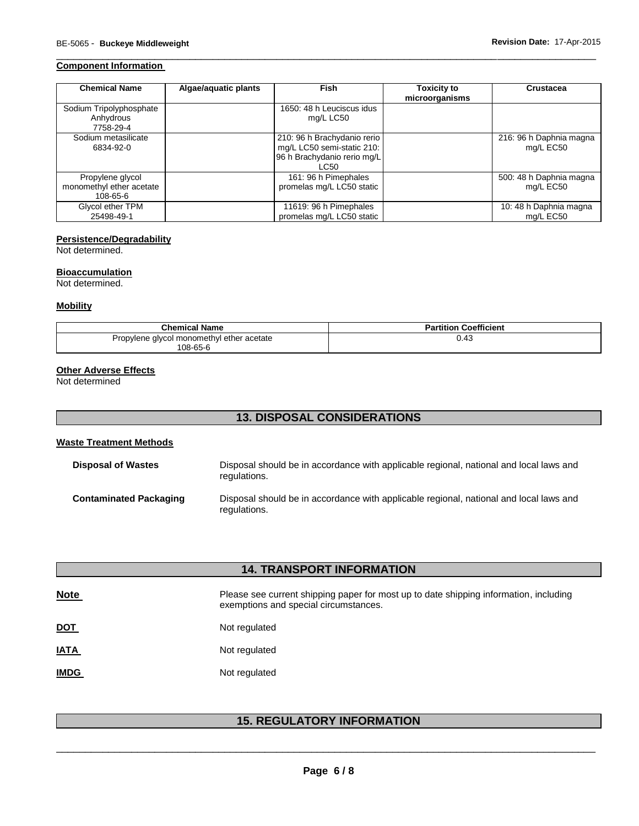### **Component Information**

| <b>Chemical Name</b>                                           | Algae/aquatic plants | <b>Fish</b>                                                                                      | <b>Toxicity to</b><br>microorganisms | Crustacea                            |
|----------------------------------------------------------------|----------------------|--------------------------------------------------------------------------------------------------|--------------------------------------|--------------------------------------|
| Sodium Tripolyphosphate<br>Anhydrous<br>7758-29-4              |                      | 1650: 48 h Leuciscus idus<br>mg/L LC50                                                           |                                      |                                      |
| Sodium metasilicate<br>6834-92-0                               |                      | 210: 96 h Brachydanio rerio<br>mg/L LC50 semi-static 210:<br>96 h Brachydanio rerio mg/L<br>LC50 |                                      | 216: 96 h Daphnia magna<br>mg/L EC50 |
| Propylene glycol<br>monomethyl ether acetate<br>$108 - 65 - 6$ |                      | 161: 96 h Pimephales<br>promelas mg/L LC50 static                                                |                                      | 500: 48 h Daphnia magna<br>mg/L EC50 |
| Glycol ether TPM<br>25498-49-1                                 |                      | 11619: 96 h Pimephales<br>promelas mg/L LC50 static                                              |                                      | 10: 48 h Daphnia magna<br>mg/L EC50  |

\_\_\_\_\_\_\_\_\_\_\_\_\_\_\_\_\_\_\_\_\_\_\_\_\_\_\_\_\_\_\_\_\_\_\_\_\_\_\_\_\_\_\_\_\_\_\_\_\_\_\_\_\_\_\_\_\_\_\_\_\_\_\_\_\_\_\_\_\_\_\_\_\_\_\_\_\_\_\_\_\_\_\_\_\_\_\_\_\_\_\_\_\_

#### **Persistence/Degradability**

Not determined.

#### **Bioaccumulation**

Not determined.

#### **Mobility**

| <b>Chemical Name</b>                      | <b>Partition Coefficient</b> |
|-------------------------------------------|------------------------------|
| Propylene glycol monomethyl ether acetate | 0.43                         |
| 108-65-6                                  |                              |

#### **Other Adverse Effects**

Not determined

# **13. DISPOSAL CONSIDERATIONS**

# **Waste Treatment Methods**

| <b>Disposal of Wastes</b>     | Disposal should be in accordance with applicable regional, national and local laws and<br>regulations. |
|-------------------------------|--------------------------------------------------------------------------------------------------------|
| <b>Contaminated Packaging</b> | Disposal should be in accordance with applicable regional, national and local laws and<br>regulations. |

# **14. TRANSPORT INFORMATION**

| <b>Note</b> | Please see current shipping paper for most up to date shipping information, including<br>exemptions and special circumstances. |
|-------------|--------------------------------------------------------------------------------------------------------------------------------|
| <u>DOT</u>  | Not regulated                                                                                                                  |
| <u>IATA</u> | Not regulated                                                                                                                  |
| <b>IMDG</b> | Not regulated                                                                                                                  |

# **15. REGULATORY INFORMATION**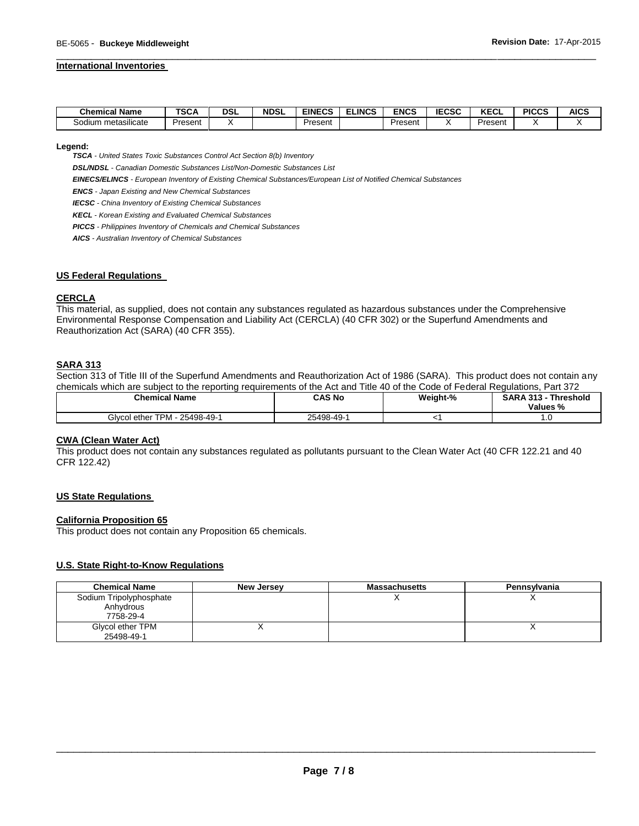#### **International Inventories**

| <b>Chemical Name</b>       | <b>TSCA</b>  | DSL | <b>NDSL</b> | <b>EINECS</b> | <b>ELINCS</b> | <b>ENCS</b> | <b>IECSC</b> | 25.0<br>ncul | <b>PICCS</b> | <b>AICS</b> |
|----------------------------|--------------|-----|-------------|---------------|---------------|-------------|--------------|--------------|--------------|-------------|
| <br>metasilicate<br>sodium | -<br>Present |     |             | Present       |               | Present     |              | Present      |              |             |

\_\_\_\_\_\_\_\_\_\_\_\_\_\_\_\_\_\_\_\_\_\_\_\_\_\_\_\_\_\_\_\_\_\_\_\_\_\_\_\_\_\_\_\_\_\_\_\_\_\_\_\_\_\_\_\_\_\_\_\_\_\_\_\_\_\_\_\_\_\_\_\_\_\_\_\_\_\_\_\_\_\_\_\_\_\_\_\_\_\_\_\_\_

**Legend:** 

*TSCA - United States Toxic Substances Control Act Section 8(b) Inventory* 

*DSL/NDSL - Canadian Domestic Substances List/Non-Domestic Substances List* 

*EINECS/ELINCS - European Inventory of Existing Chemical Substances/European List of Notified Chemical Substances* 

*ENCS - Japan Existing and New Chemical Substances* 

*IECSC - China Inventory of Existing Chemical Substances* 

*KECL - Korean Existing and Evaluated Chemical Substances* 

*PICCS - Philippines Inventory of Chemicals and Chemical Substances* 

*AICS - Australian Inventory of Chemical Substances* 

#### **US Federal Regulations**

#### **CERCLA**

This material, as supplied, does not contain any substances regulated as hazardous substances under the Comprehensive Environmental Response Compensation and Liability Act (CERCLA) (40 CFR 302) or the Superfund Amendments and Reauthorization Act (SARA) (40 CFR 355).

#### **SARA 313**

Section 313 of Title III of the Superfund Amendments and Reauthorization Act of 1986 (SARA). This product does not contain any chemicals which are subject to the reporting requirements of the Act and Title 40 of the Code of Federal Regulations, Part 372

| Chemical Name                      | CAS No     | Weight-% | <b>SARA 313 -</b><br>Threshold<br>Values % |
|------------------------------------|------------|----------|--------------------------------------------|
| Glycol ether TPM - .<br>25498-49-1 | 25498-49-1 |          | .u                                         |

#### **CWA (Clean Water Act)**

This product does not contain any substances regulated as pollutants pursuant to the Clean Water Act (40 CFR 122.21 and 40 CFR 122.42)

#### **US State Regulations**

#### **California Proposition 65**

This product does not contain any Proposition 65 chemicals.

#### **U.S. State Right-to-Know Regulations**

| <b>Chemical Name</b>    | New Jersey | Massachusetts | Pennsylvania |
|-------------------------|------------|---------------|--------------|
| Sodium Tripolyphosphate |            |               |              |
| Anhydrous               |            |               |              |
| 7758-29-4               |            |               |              |
| Glycol ether TPM        |            |               |              |
| 25498-49-1              |            |               |              |